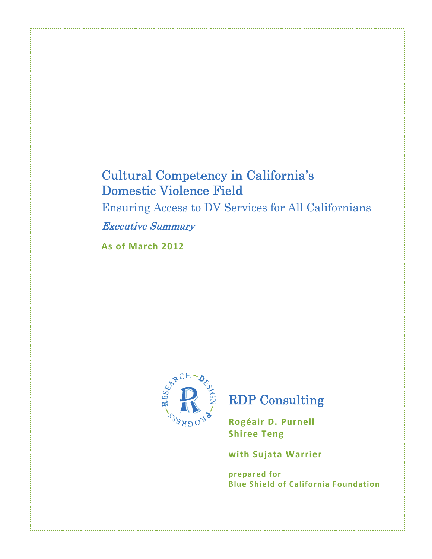# **Cultural Competency in California's Domestic Violence Field**

Ensuring Access to DV Services for All Californians

**Executive Summary** 

As of March 2012



# **RDP** Consulting

Rogéair D. Purnell **Shiree Teng** 

with Sujata Warrier

prepared for **Blue Shield of California Foundation**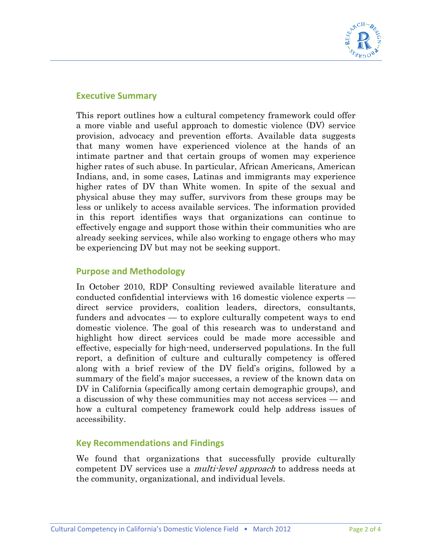

## **Executive Summary**

This report outlines how a cultural competency framework could offer a more viable and useful approach to domestic violence (DV) service provision, advocacy and prevention efforts. Available data suggests that many women have experienced violence at the hands of an intimate partner and that certain groups of women may experience higher rates of such abuse. In particular, African Americans, American Indians, and, in some cases, Latinas and immigrants may experience higher rates of DV than White women. In spite of the sexual and physical abuse they may suffer, survivors from these groups may be less or unlikely to access available services. The information provided in this report identifies ways that organizations can continue to effectively engage and support those within their communities who are already seeking services, while also working to engage others who may be experiencing DV but may not be seeking support.

### **Purpose and Methodology**

In October 2010, RDP Consulting reviewed available literature and conducted confidential interviews with 16 domestic violence experts direct service providers, coalition leaders, directors, consultants, funders and advocates — to explore culturally competent ways to end domestic violence. The goal of this research was to understand and highlight how direct services could be made more accessible and effective, especially for high-need, underserved populations. In the full report, a definition of culture and culturally competency is offered along with a brief review of the DV field's origins, followed by a summary of the field's major successes, a review of the known data on DV in California (specifically among certain demographic groups), and a discussion of why these communities may not access services — and how a cultural competency framework could help address issues of accessibility.

#### **Key Recommendations and Findings**

We found that organizations that successfully provide culturally competent DV services use a *multi-level approach* to address needs at the community, organizational, and individual levels.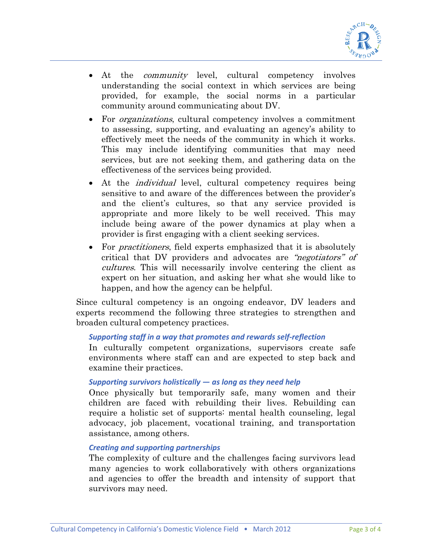

- At the *community* level, cultural competency involves understanding the social context in which services are being provided, for example, the social norms in a particular community around communicating about DV.
- For *organizations*, cultural competency involves a commitment to assessing, supporting, and evaluating an agency's ability to effectively meet the needs of the community in which it works. This may include identifying communities that may need services, but are not seeking them, and gathering data on the effectiveness of the services being provided.
- At the *individual* level, cultural competency requires being sensitive to and aware of the differences between the provider's and the client's cultures, so that any service provided is appropriate and more likely to be well received. This may include being aware of the power dynamics at play when a provider is first engaging with a client seeking services.
- For *practitioners*, field experts emphasized that it is absolutely critical that DV providers and advocates are "negotiators" of cultures. This will necessarily involve centering the client as expert on her situation, and asking her what she would like to happen, and how the agency can be helpful.

Since cultural competency is an ongoing endeavor, DV leaders and experts recommend the following three strategies to strengthen and broaden cultural competency practices.

#### *Supporting staff in a way that promotes and rewards self‐reflection*

In culturally competent organizations, supervisors create safe environments where staff can and are expected to step back and examine their practices.

#### *Supporting survivors holistically — as long as they need help*

Once physically but temporarily safe, many women and their children are faced with rebuilding their lives. Rebuilding can require a holistic set of supports: mental health counseling, legal advocacy, job placement, vocational training, and transportation assistance, among others.

#### *Creating and supporting partnerships*

The complexity of culture and the challenges facing survivors lead many agencies to work collaboratively with others organizations and agencies to offer the breadth and intensity of support that survivors may need.